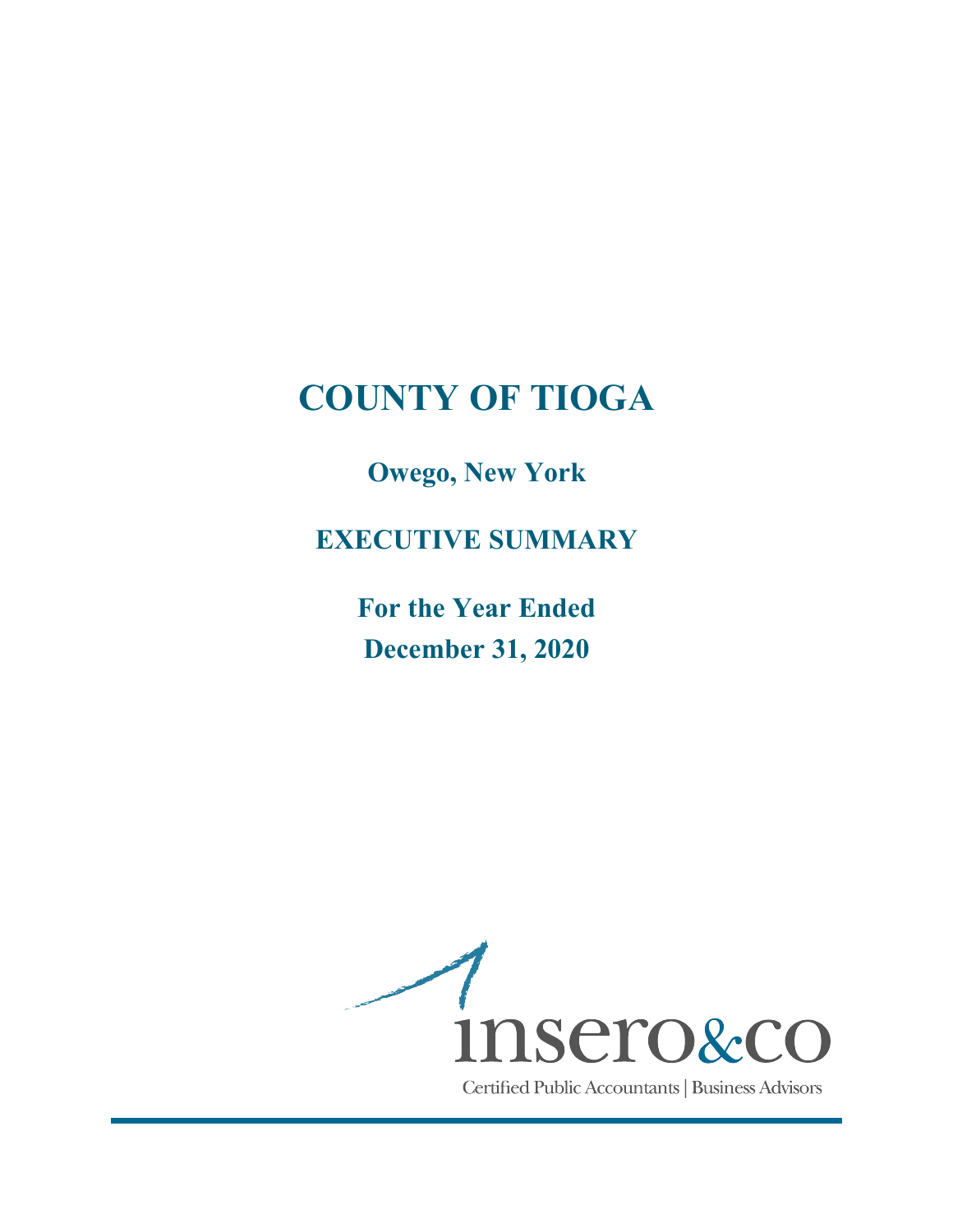Owego, New York

EXECUTIVE SUMMARY

For the Year Ended December 31, 2020

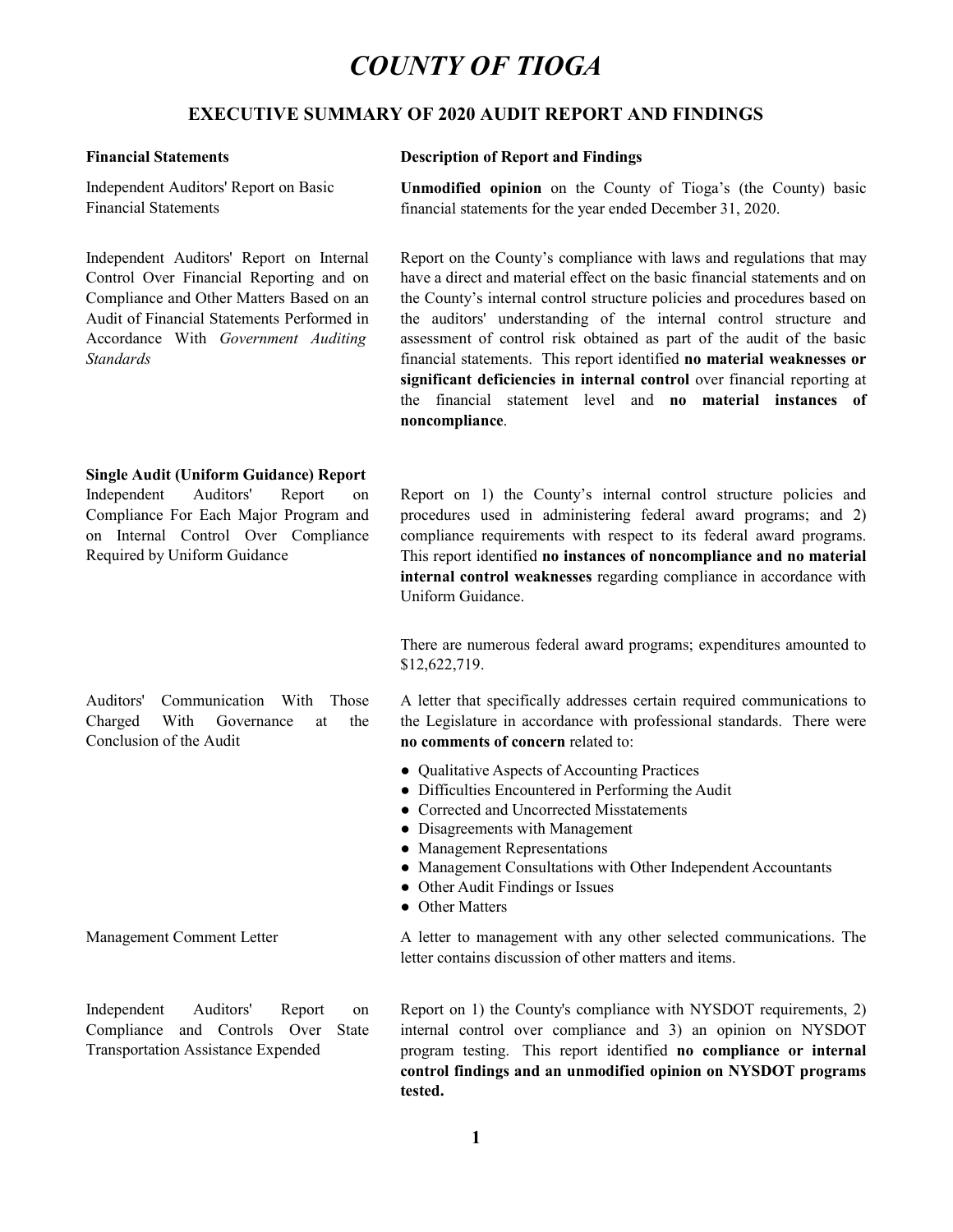### EXECUTIVE SUMMARY OF 2020 AUDIT REPORT AND FINDINGS

Financial Statements

**Standards** 

#### Financial Statements Description of Report and Findings

Independent Auditors' Report on Basic **Unmodified opinion** on the County of Tioga's (the County) basic financial statements for the year ended December 31, 2020.

UNTY OF TIOGA<br>
COF 2020 AUDIT REPORT AND FINDINGS<br>
Description of Report and Findings<br>
Unmodified opinion on the County of Tioga's (the County) basic<br>
financial statements for the year ended December 31, 2020.<br>
Report on **COUNTY OF TIOGA**<br> **EXECUTIVE SUMMARY OF 2020 AUDIT REPORT AND FINDINGS**<br> **EXECUTIVE SUMMARY OF 2020 AUDIT REPORT AND FINDINGS**<br> **Exercition** of Report and Findings<br>
Independent Auditors' Report on Basic Unmodified opinion **COUNTY OF TIOGA**<br> **EXECUTIVE SUMMARY OF 2020 AUDIT REPORT AND FINDINGS**<br>
Financial Statements<br>
Independent Auditors' Report on Basic<br>
Enancial Statements<br>
Independent Auditors' Report on Internal<br>
Independent Auditors' Re **COUNTY OF TIOGA**<br> **EXECUTIVE SUMMARY OF 2020 AUDIT REPORT AND FINDINGS**<br>
Financial Statements<br>
Independent Auditors' Report on Basic<br>
Unmodified opinion on the County of Tioga's (the County) basic<br>
Financial Statements<br> **COUNTY OF TIOGA**<br> **EXECUTIVE SUMMARY OF 2020 AUDIT REPORT AND FINDINGS**<br>
Financial Statements Description of Report and Findings<br>
Independent Auditors' Report on Basic Unnodified opinion on the County of Tioga's (the Cou **COUNTY OF TIOGA**<br>**EXECUTIVE SUMMARY OF 2020 AUDIT REPORT AND FINDINGS**<br>Financial Statements<br>
Independent Auditors' Report on Basic Unmodified opinion on the County of Tioga's (the County<br>
Financial Statements Independent *INTY OF TIOGA*<br>
COF 2020 AUDIT REPORT AND FINDINGS<br>
Description of Report and Findings<br>
Unmodified opinion on the County of Tioga's (the County) basic<br>
financial statements for the year ended December 31, 2020.<br>
Report o **Solution A direct and material effect and material effect on the basic financial statements for the county of Tioga's (the County) basic financial statements for the year ended December 31, 2020.<br>Report on the County's c TATY OF TIOGA**<br>
COF 2020 AUDIT REPORT AND FINDINGS<br>
Description of Report and Findings<br>
Unmodified opinion on the County of Tioga's (the County) basic<br>
financial statements for the year ended December 31, 2020.<br>
Report o **TATY OF TIOGA**<br> **COTE 2020 AUDIT REPORT AND FINDINGS**<br> **Description of Report and Findings**<br> **Unmodified opinion** on the County of Tioga's (the County) basic<br>
financial statements for the year ended December 31, 2020.<br> **INTY OF TIOGA**<br> **COF 2020 AUDIT REPORT AND FINDINGS**<br> **Description of Report and Findings**<br> **Unmodified opinion** on the County of Tioga's (the County) basic<br>
financial statements for the year ended December 31, 2020.<br> **R** FINTY OF TIOGA<br>OF 2020 AUDIT REPORT AND FINDINGS<br>Description of Report and Findings<br>Unmodified opinion on the County of Tioga's (the County) basic<br>financial statements for the year ended December 31, 2020.<br>Report on the C **Solution 18 Alternal control of the COST**<br> **Significant deficiency COST EXECUT AND FINDINGS**<br> **Description of Report and Findings**<br> **Unmodified opinion** on the Country of Tioga's (the Country) basic<br>
financial statem *INTY OF TIOGA*<br>
OF 2020 AUDIT REPORT AND FINDINGS<br>
Description of Report and Findings<br>
Unmodified opinion on the County of Tioga's (the County) basic<br>
financial statements for the year ended December 31, 2020.<br>
Report on noncompliance. **EXECUTIVE SUMMARY OF 2020 AUDIT REPORT AND FINDINGS**<br> **Exerception of Report and Findings**<br>
Independent Auditors' Report on Basic<br> **Exerception of Report and Findings**<br>
Independent Auditors' Report on Basic<br> **Exerception EXECUTIVE SUMMARY OF 2020 AUDIT REPORT AND FINDINGS**<br> **Exercition** of Report and Findings<br>
Independent Auditors' Report on Basic Unnodified opinion on the County of Tioga's (the County) bas<br>
Financial Statements<br>
Emancial **Financial Statements**<br> **Description of Report and Findings**<br>
Independent Auditors' Report on Basic Unmodified opinion on the County of Tioga's (the Counternal Control Over Financial Report on Internal Report on the Count **COF 2020 AUDIT REPORT AND FINDINGS**<br>
Description of Report and Findings<br>
Unmodified opinion on the County of Tioga's (the County) basic<br>
financial statements for the year ended December 31, 2020.<br>
Report on the County's c **OF 2020 AUDIT REPORT AND FINDINGS**<br>**Description of Report and Findings**<br>**Unmodified opinion** on the County of Tioga's (the County) basic<br>financial statements for the year ended December 31, 2020.<br>
Report on the County's c **Description of Report and Findings**<br> **Unmodified opinion** on the County of Tioga's (the County) basic<br>
financial statements for the year ended December 31, 2020.<br>
Report on the County's compliance with laws and regulation **Description of Report and Findings**<br> **Unmodified opinion** on the County of Tioga's (the County) basic<br>
financial statements for the year ended December 31, 2020.<br>
Report on the County's compliance with laws and regulation **Unmodified opinion** on the County of Tioga's (the County) basic<br>financial statements for the year ended December 31, 2020.<br>Report on the County's compliance with laws and regulations that may<br>have a direct and material ef Report on the County's compliance with laws and regulations that may<br>have a direct and material effect on the basic financial statements and on<br>the County's internal control structure policies and procedures based on<br>the a Compliance and Olien Matter Stated on an the County is increase to an operator structure pointers and procedures and procedure points of the stated of Financial Statements Performed in the auditors' understanding of the i the County sinternal control structure polices and procedures based on<br>the auditors' understanding of the internal control structure and<br>assessment of control risk obtained as part of the audit of the basic<br>financial state

#### Single Audit (Uniform Guidance) Report

Conclusion of the Audit

Required by Uniform Guidance This report identified no instances of noncompliance and no material Uniform Guidance. Notion I than anal Matematik Performed in the autotos 'unstatement per anti-mate of the metal control structure and the basis condards<br>
Accordance With *Government Auditing* assessment of control risk obtained as part of t the audrors' understanding of the internal control structure and<br>assessment of control risk obtained as part of the audit of the basic<br>financial statements. This report identified **no material veaknesses or**<br>**significant d** on Internal Control Over Complement Comment With Trepet to its featural with control to the term and populations in accordance with<br>
Uniform Guidance<br>
This report identified no instances of noncompliance and no material<br>
U

\$12,622,719.

no comments of concern related to:

- Qualitative Aspects of Accounting Practices
- Difficulties Encountered in Performing the Audit
- Corrected and Uncorrected Misstatements
- Disagreements with Management
- Management Representations
- Management Consultations with Other Independent Accountants
- Other Audit Findings or Issues
- Other Matters

letter contains discussion of other matters and items.

There are numerous federal award programs; expenditures amounted to<br>
S12,622,719.<br>
Auditors' Communication With Those Aletter that specifically addresses certain required communications to<br>
Conclusion of the Audit and the There are numerous federal award programs; expenditures anounted<br>
S12.622.719.<br>
Charged With Governance at the Legislature in accordance with professional standards. There we<br>
Conclusion of the Audit the controls of the Le Transportation Assistance Expended by program testing. This report identified no compliance or internal There are numerous federal award programs; expenditures amounted to  $$12,622,719$ .<br>A letter that specifically addresses certain required communications to<br>the Legislature in accordance with professional standards. There we There are numerous federal award programs; expenditures amounted to  $$12,622,719$ .<br>
A letter that specifically addresses certain required communications to<br>
the Legislature in accordance with professional standards. There neer are nimetous lecteral awatu programs, expendentes antounced to<br>S12,622,719.<br>A letter that specifically addresses certain required communications to<br>the Legislature in accordance with professional standards. There were **SECUTE THE SET ANTION CONTROLL AND ANTION CONTROLLY AND ALTER AND AN UNITED AND AN UNITED AND ANOTHER AND CONTROLLY CONTROLLY ASSOCIATED AND CONTROLLY ASSOCIATED AND CONTROLLY ASSOCIATED AND CONTROLLY CONTROLLY AND CONTRO** tested.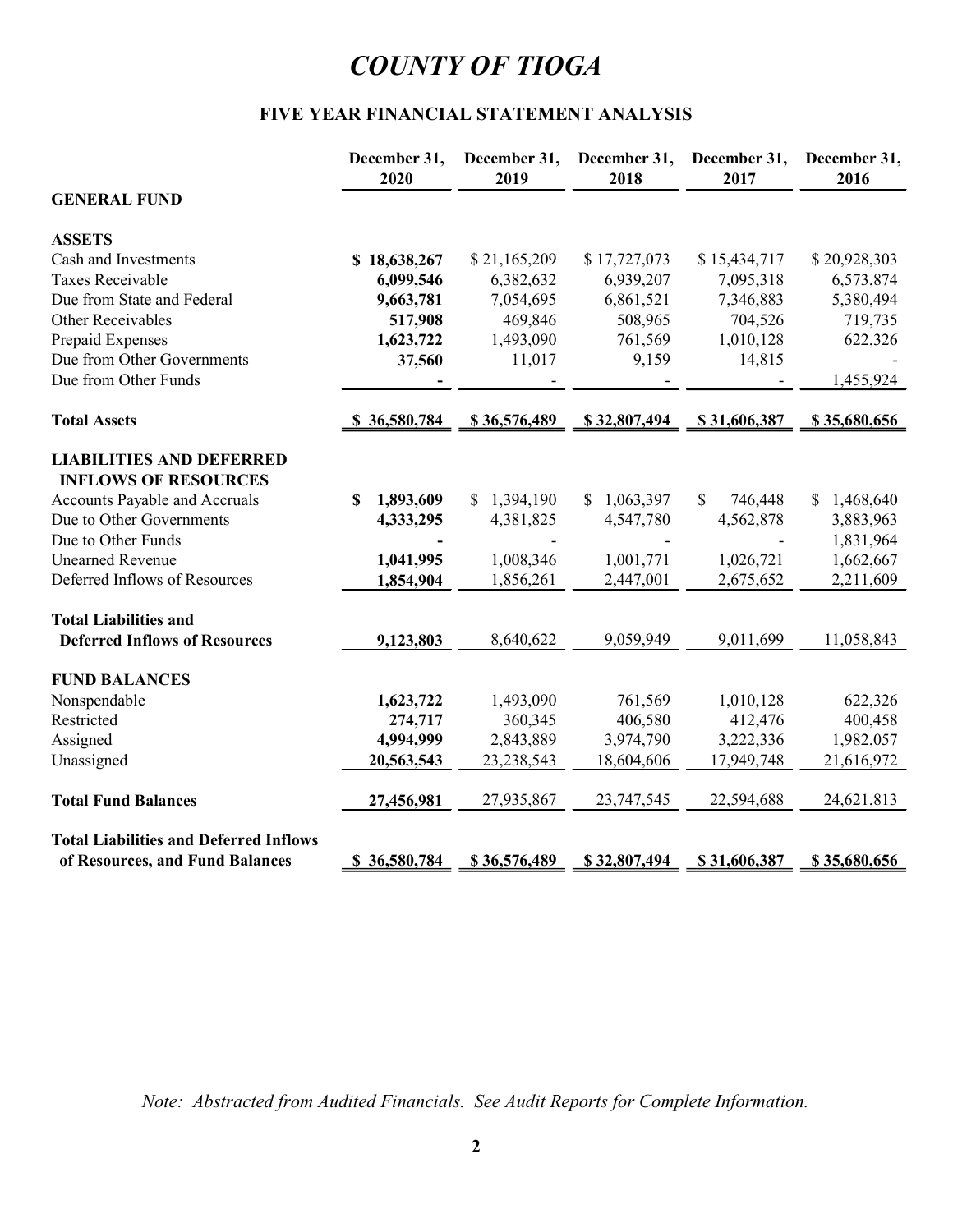# FIVE YEAR FINANCIAL STATEMENT ANALYSIS

|                                                                | December 31,<br>2020      | December 31,<br>2019 | December 31,<br>2018 | December 31,<br>2017    | December 31,<br>2016 |
|----------------------------------------------------------------|---------------------------|----------------------|----------------------|-------------------------|----------------------|
| <b>GENERAL FUND</b>                                            |                           |                      |                      |                         |                      |
| <b>ASSETS</b>                                                  |                           |                      |                      |                         |                      |
| Cash and Investments                                           | \$18,638,267              | \$21,165,209         | \$17,727,073         | \$15,434,717            | \$20,928,303         |
| Taxes Receivable                                               | 6,099,546                 | 6,382,632            | 6,939,207            | 7,095,318               | 6,573,874            |
| Due from State and Federal                                     | 9,663,781                 | 7,054,695            | 6,861,521            | 7,346,883               | 5,380,494            |
| Other Receivables                                              | 517,908                   | 469,846              | 508,965              | 704,526                 | 719,735              |
| Prepaid Expenses                                               | 1,623,722                 | 1,493,090            | 761,569              | 1,010,128               | 622,326              |
| Due from Other Governments                                     | 37,560                    | 11,017               | 9,159                | 14,815                  |                      |
| Due from Other Funds                                           |                           |                      |                      |                         | 1,455,924            |
| <b>Total Assets</b>                                            | \$36,580,784              | \$36,576,489         | \$32,807,494         | \$31,606,387            | \$35,680,656         |
| <b>LIABILITIES AND DEFERRED</b><br><b>INFLOWS OF RESOURCES</b> |                           |                      |                      |                         |                      |
| Accounts Payable and Accruals                                  | 1,893,609<br>$\mathbf{s}$ | \$1,394,190          | \$1,063,397          | $\mathbb{S}$<br>746,448 | \$1,468,640          |
| Due to Other Governments                                       | 4,333,295                 | 4,381,825            | 4,547,780            | 4,562,878               | 3,883,963            |
| Due to Other Funds                                             |                           |                      |                      |                         | 1,831,964            |
| <b>Unearned Revenue</b>                                        | 1,041,995                 | 1,008,346            | 1,001,771            | 1,026,721               | 1,662,667            |
| Deferred Inflows of Resources                                  | 1,854,904                 | 1,856,261            | 2,447,001            | 2,675,652               | 2,211,609            |
| <b>Total Liabilities and</b>                                   |                           |                      |                      |                         |                      |
| <b>Deferred Inflows of Resources</b>                           | 9,123,803                 | 8,640,622            | 9,059,949            | 9,011,699               | 11,058,843           |
| <b>FUND BALANCES</b>                                           |                           |                      |                      |                         |                      |
| Nonspendable                                                   | 1,623,722                 | 1,493,090            | 761,569              | 1,010,128               | 622,326              |
| Restricted                                                     | 274,717                   | 360,345              | 406,580              | 412,476                 | 400,458              |
| Assigned                                                       | 4,994,999                 | 2,843,889            | 3,974,790            | 3,222,336               | 1,982,057            |
| Unassigned                                                     | 20,563,543                | 23, 238, 543         | 18,604,606           | 17,949,748              | 21,616,972           |
| <b>Total Fund Balances</b>                                     | 27,456,981                | 27,935,867           | 23,747,545           | 22,594,688              | 24,621,813           |
| <b>Total Liabilities and Deferred Inflows</b>                  |                           |                      |                      |                         |                      |
| of Resources, and Fund Balances                                | \$36,580,784              | \$36,576,489         | \$32,807,494         | \$31,606,387            | \$35,680,656         |

Note: Abstracted from Audited Financials. See Audit Reports for Complete Information.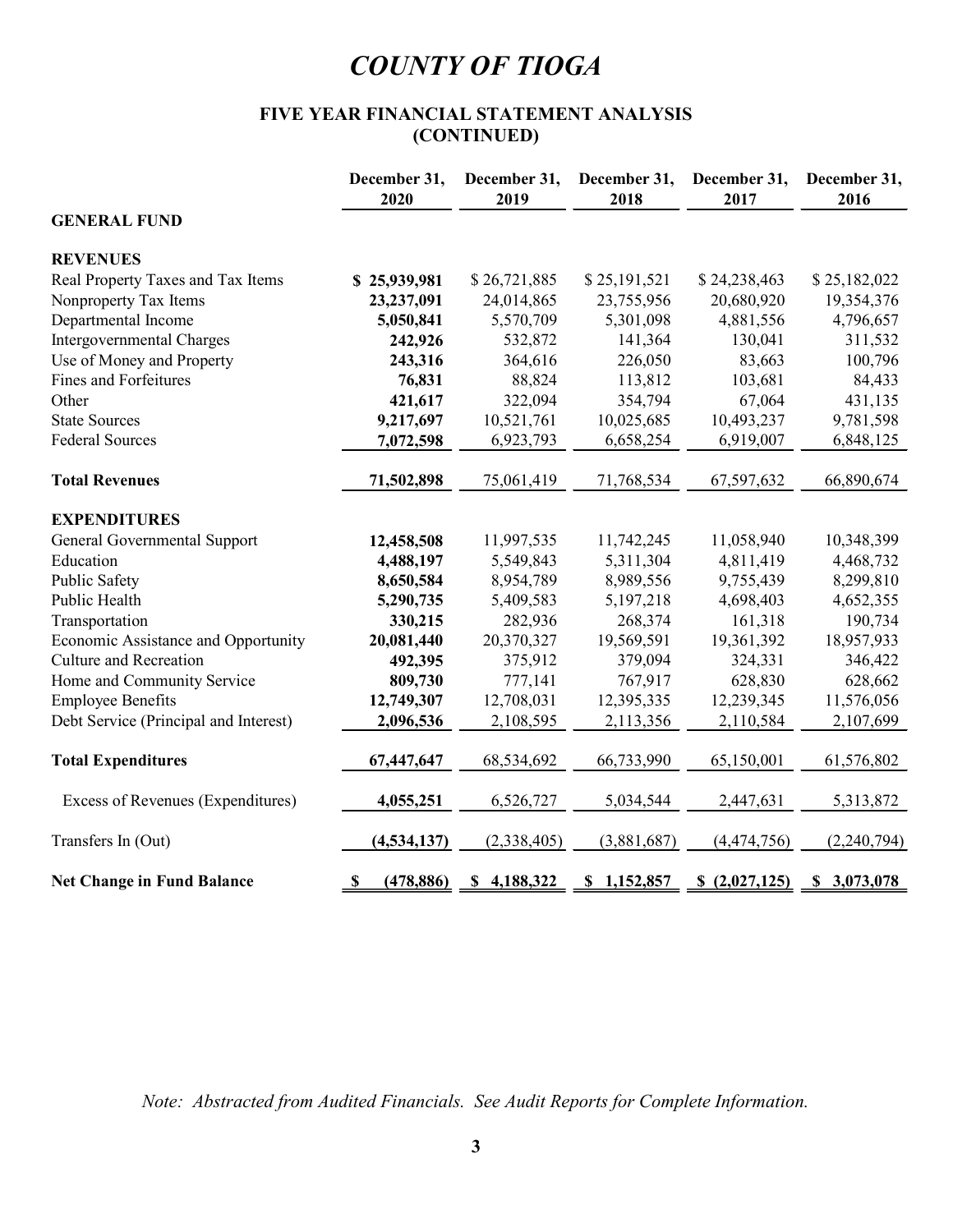# FIVE YEAR FINANCIAL STATEMENT ANALYSIS (CONTINUED)

|                                       | FIVE YEAR FINANCIAL STATEMENT ANALYSIS | (CONTINUED)          | <b>COUNTY OF TIOGA</b> |                      |                      |
|---------------------------------------|----------------------------------------|----------------------|------------------------|----------------------|----------------------|
|                                       | December 31,<br>2020                   | December 31,<br>2019 | December 31,<br>2018   | December 31,<br>2017 | December 31,<br>2016 |
| <b>GENERAL FUND</b>                   |                                        |                      |                        |                      |                      |
| <b>REVENUES</b>                       |                                        |                      |                        |                      |                      |
| Real Property Taxes and Tax Items     | \$25,939,981                           | \$26,721,885         | \$25,191,521           | \$24,238,463         | \$25,182,022         |
| Nonproperty Tax Items                 | 23,237,091                             | 24,014,865           | 23,755,956             | 20,680,920           | 19,354,376           |
| Departmental Income                   | 5,050,841                              | 5,570,709            | 5,301,098              | 4,881,556            | 4,796,657            |
| Intergovernmental Charges             | 242,926                                | 532,872              | 141,364                | 130,041              | 311,532              |
| Use of Money and Property             | 243,316                                | 364,616              | 226,050                | 83,663               | 100,796              |
| Fines and Forfeitures                 | 76,831                                 | 88,824               | 113,812                | 103,681              | 84,433               |
| Other                                 | 421,617                                | 322,094              | 354,794                | 67,064               | 431,135              |
| <b>State Sources</b>                  | 9,217,697                              | 10,521,761           | 10,025,685             | 10,493,237           | 9,781,598            |
| <b>Federal Sources</b>                | 7,072,598                              | 6,923,793            | 6,658,254              | 6,919,007            | 6,848,125            |
| <b>Total Revenues</b>                 | 71,502,898                             | 75,061,419           | 71,768,534             | 67,597,632           | 66,890,674           |
| <b>EXPENDITURES</b>                   |                                        |                      |                        |                      |                      |
| General Governmental Support          | 12,458,508                             | 11,997,535           | 11,742,245             | 11,058,940           | 10,348,399           |
| Education                             | 4,488,197                              | 5,549,843            | 5,311,304              | 4,811,419            | 4,468,732            |
| Public Safety                         | 8,650,584                              | 8,954,789            | 8,989,556              | 9,755,439            | 8,299,810            |
| Public Health                         | 5,290,735                              | 5,409,583            | 5,197,218              | 4,698,403            | 4,652,355            |
| Transportation                        | 330,215                                | 282,936              | 268,374                | 161,318              | 190,734              |
| Economic Assistance and Opportunity   | 20,081,440                             | 20,370,327           | 19,569,591             | 19,361,392           | 18,957,933           |
| Culture and Recreation                | 492,395                                | 375,912              | 379,094                | 324,331              | 346,422              |
| Home and Community Service            | 809,730                                | 777,141              | 767,917                | 628,830              | 628,662              |
| <b>Employee Benefits</b>              | 12,749,307                             | 12,708,031           | 12,395,335             | 12,239,345           | 11,576,056           |
| Debt Service (Principal and Interest) | 2,096,536                              | 2,108,595            | 2,113,356              | 2,110,584            | 2,107,699            |
| <b>Total Expenditures</b>             | 67,447,647                             | 68,534,692           | 66,733,990             | 65,150,001           | 61,576,802           |
| Excess of Revenues (Expenditures)     | 4,055,251                              | 6,526,727            | 5,034,544              | 2,447,631            | 5,313,872            |
| Transfers In (Out)                    | (4, 534, 137)                          | (2,338,405)          | (3,881,687)            | (4,474,756)          | (2,240,794)          |
| <b>Net Change in Fund Balance</b>     | (478, 886)<br>-SS-                     | \$4,188,322          | \$1,152,857            | \$(2,027,125)        | \$3,073,078          |

Note: Abstracted from Audited Financials. See Audit Reports for Complete Information.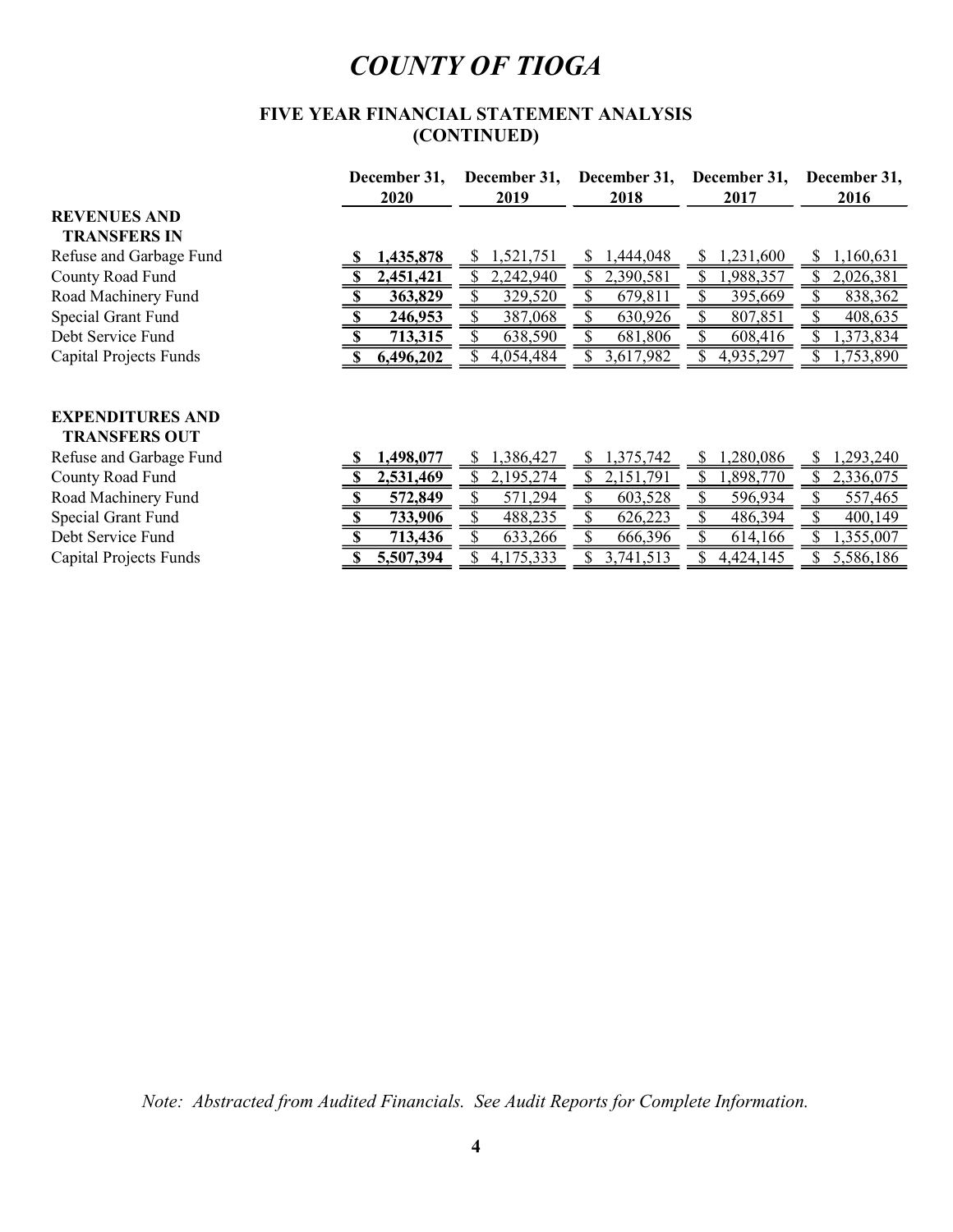# FIVE YEAR FINANCIAL STATEMENT ANALYSIS (CONTINUED)

|                               | December 31, | December 31, | December 31, | December 31, | December 31,    |
|-------------------------------|--------------|--------------|--------------|--------------|-----------------|
|                               | 2020         | 2019         | 2018         | 2017         | 2016            |
| <b>REVENUES AND</b>           |              |              |              |              |                 |
| <b>TRANSFERS IN</b>           |              |              |              |              |                 |
| Refuse and Garbage Fund       | 1,435,878    | ,521,751     | ,444,048     | ,231,600     | 1,160,631<br>S. |
| County Road Fund              | 2,451,421    | 2,242,940    | 2,390,581    | ,988,357     | 2,026,381       |
| Road Machinery Fund           | 363,829      | 329,520      | 679,811      | 395,669      | 838,362         |
| Special Grant Fund            | 246,953      | 387,068      | 630,926      | 807,851      | 408,635         |
| Debt Service Fund             | 713,315      | 638,590      | 681,806      | 608,416      | ,373,834        |
| Capital Projects Funds        | 6,496,202    | 4,054,484    | 3,617,982    | 4,935,297    | 1,753,890       |
|                               |              |              |              |              |                 |
|                               |              |              |              |              |                 |
| <b>EXPENDITURES AND</b>       |              |              |              |              |                 |
| <b>TRANSFERS OUT</b>          |              |              |              |              |                 |
| Refuse and Garbage Fund       | ,498,077     | ,386,427     | 1,375,742    | ,280,086     | ,293,240        |
| County Road Fund              | 2,531,469    | 2,195,274    | 2,151,791    | ,898,770     | 2,336,075       |
| Road Machinery Fund           | 572,849      | 571,294      | 603,528      | 596,934      | 557,465         |
| Special Grant Fund            | 733,906      | 488,235      | 626,223      | 486,394      | 400,149         |
| Debt Service Fund             | 713,436      | 633,266      | 666,396      | 614,166      | 1,355,007       |
| <b>Capital Projects Funds</b> | 5,507,394    | 4,175,333    | 3,741,513    | 4,424,145    | 5,586,186       |
|                               |              |              |              |              |                 |

Note: Abstracted from Audited Financials. See Audit Reports for Complete Information.